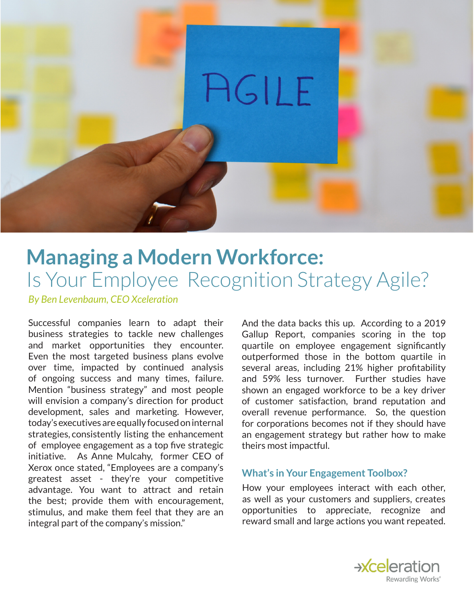

## **Managing a Modern Workforce:** Is Your Employee Recognition Strategy Agile?

*By Ben Levenbaum, CEO Xceleration*

Successful companies learn to adapt their business strategies to tackle new challenges and market opportunities they encounter. Even the most targeted business plans evolve over time, impacted by continued analysis of ongoing success and many times, failure. Mention "business strategy" and most people will envision a company's direction for product development, sales and marketing. However, today's executives are equally focused on internal strategies, consistently listing the enhancement of employee engagement as a top five strategic initiative. As Anne Mulcahy, former CEO of Xerox once stated, "Employees are a company's greatest asset - they're your competitive advantage. You want to attract and retain the best; provide them with encouragement, stimulus, and make them feel that they are an integral part of the company's mission."

And the data backs this up. According to a 2019 Gallup Report, companies scoring in the top quartile on employee engagement significantly outperformed those in the bottom quartile in several areas, including 21% higher profitability and 59% less turnover. Further studies have shown an engaged workforce to be a key driver of customer satisfaction, brand reputation and overall revenue performance. So, the question for corporations becomes not if they should have an engagement strategy but rather how to make theirs most impactful.

## **What's in Your Engagement Toolbox?**

How your employees interact with each other, as well as your customers and suppliers, creates opportunities to appreciate, recognize and reward small and large actions you want repeated.

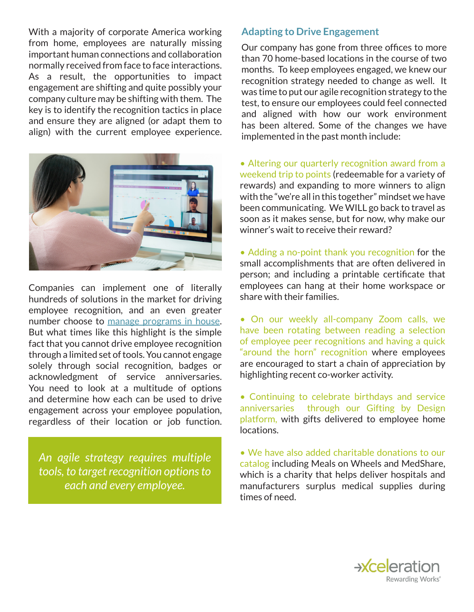With a majority of corporate America working from home, employees are naturally missing important human connections and collaboration normally received from face to face interactions. As a result, the opportunities to impact engagement are shifting and quite possibly your company culture may be shifting with them. The key is to identify the recognition tactics in place and ensure they are aligned (or adapt them to align) with the current employee experience.



Companies can implement one of literally hundreds of solutions in the market for driving employee recognition, and an even greater number choose to manage programs in house. But what times like this highlight is the simple fact that you cannot drive employee recognition through a limited set of tools. You cannot engage solely through social recognition, badges or acknowledgment of service anniversaries. You need to look at a multitude of options and determine how each can be used to drive engagement across your employee population, regardless of their location or job function.

*An agile strategy requires multiple tools, to target recognition options to each and every employee.* 

## **Adapting to Drive Engagement**

Our company has gone from three offices to more than 70 home-based locations in the course of two months. To keep employees engaged, we knew our recognition strategy needed to change as well. It was time to put our agile recognition strategy to the test, to ensure our employees could feel connected and aligned with how our work environment has been altered. Some of the changes we have implemented in the past month include:

• Altering our quarterly recognition award from a weekend trip to points (redeemable for a variety of rewards) and expanding to more winners to align with the "we're all in this together" mindset we have been communicating. We WILL go back to travel as soon as it makes sense, but for now, why make our winner's wait to receive their reward?

• Adding a no-point thank you recognition for the small accomplishments that are often delivered in person; and including a printable certificate that employees can hang at their home workspace or share with their families.

• On our weekly all-company Zoom calls, we have been rotating between reading a selection of employee peer recognitions and having a quick "around the horn" recognition where employees are encouraged to start a chain of appreciation by highlighting recent co-worker activity.

• Continuing to celebrate birthdays and service anniversaries through our Gifting by Design platform, with gifts delivered to employee home locations.

• We have also added charitable donations to our catalog including Meals on Wheels and MedShare, which is a charity that helps deliver hospitals and manufacturers surplus medical supplies during times of need.